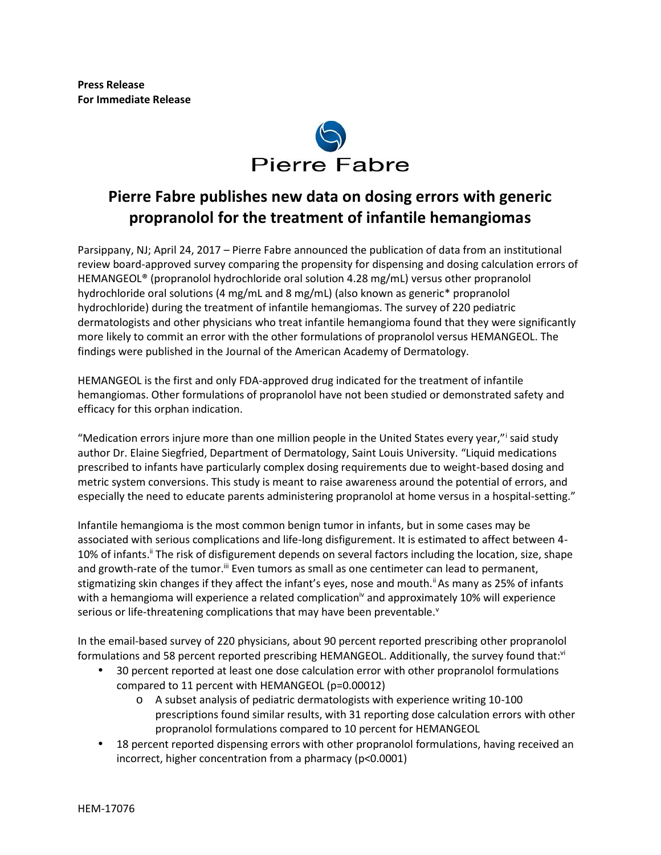

# **Pierre Fabre publishes new data on dosing errors with generic propranolol for the treatment of infantile hemangiomas**

Parsippany, NJ; April 24, 2017 – Pierre Fabre announced the publication of data from an institutional review board-approved survey comparing the propensity for dispensing and dosing calculation errors of HEMANGEOL® (propranolol hydrochloride oral solution 4.28 mg/mL) versus other propranolol hydrochloride oral solutions (4 mg/mL and 8 mg/mL) (also known as generic\* propranolol hydrochloride) during the treatment of infantile hemangiomas. The survey of 220 pediatric dermatologists and other physicians who treat infantile hemangioma found that they were significantly more likely to commit an error with the other formulations of propranolol versus HEMANGEOL. The findings were published in the Journal of the American Academy of Dermatology.

HEMANGEOL is the first and only FDA-approved drug indicated for the treatment of infantile hemangiomas. Other formulations of propranolol have not been studied or demonstrated safety and efficacy for this orphan indication.

"Medication errors injure more than one million people in the United States every year,"<sup>i</sup> said study author Dr. Elaine Siegfried, Department of Dermatology, Saint Louis University. "Liquid medications prescribed to infants have particularly complex dosing requirements due to weight-based dosing and metric system conversions. This study is meant to raise awareness around the potential of errors, and especially the need to educate parents administering propranolol at home versus in a hospital-setting."

Infantile hemangioma is the most common benign tumor in infants, but in some cases may be associated with serious complications and life-long disfigurement. It is estimated to affect between 4- 10% of infants.<sup>ii</sup> The risk of disfigurement depends on several factors including the location, size, shape and growth-rate of the tumor.<sup>ii</sup> Even tumors as small as one centimeter can lead to permanent, stigmatizing skin changes if they affect the infant's eyes, nose and mouth.<sup>ii</sup> As many as 25% of infants with a hemangioma will experience a related complication<sup> $iv$ </sup> and approximately 10% will experience serious or life-threatening complications that may have been preventable.<sup>v</sup>

In the email-based survey of 220 physicians, about 90 percent reported prescribing other propranolol formulations and 58 percent reported prescribing HEMANGEOL. Additionally, the survey found that:vi

- 30 percent reported at least one dose calculation error with other propranolol formulations compared to 11 percent with HEMANGEOL (p=0.00012)
	- o A subset analysis of pediatric dermatologists with experience writing 10-100 prescriptions found similar results, with 31 reporting dose calculation errors with other propranolol formulations compared to 10 percent for HEMANGEOL
- 18 percent reported dispensing errors with other propranolol formulations, having received an incorrect, higher concentration from a pharmacy (p<0.0001)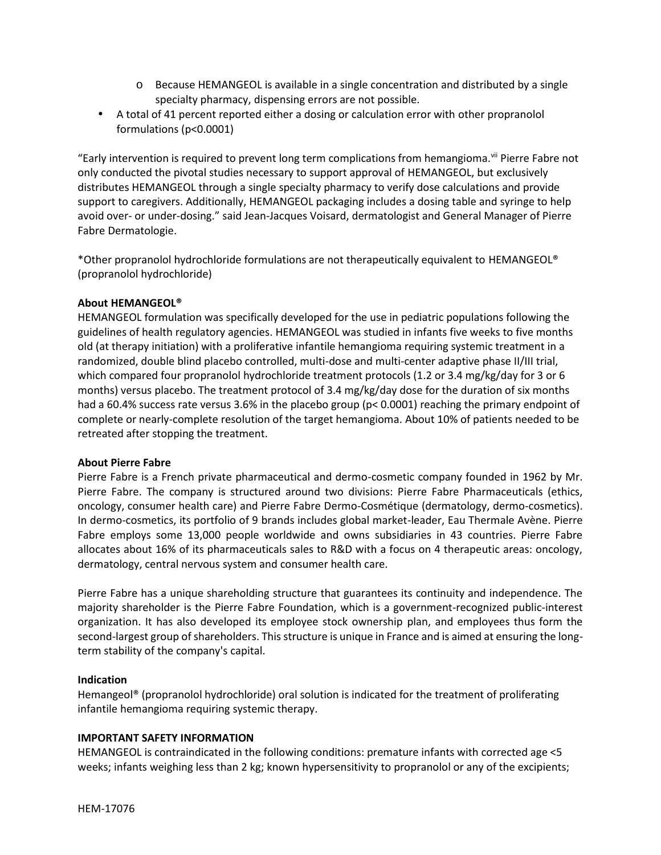- o Because HEMANGEOL is available in a single concentration and distributed by a single specialty pharmacy, dispensing errors are not possible.
- A total of 41 percent reported either a dosing or calculation error with other propranolol formulations (p<0.0001)

"Early intervention is required to prevent long term complications from hemangioma. Vil Pierre Fabre not only conducted the pivotal studies necessary to support approval of HEMANGEOL, but exclusively distributes HEMANGEOL through a single specialty pharmacy to verify dose calculations and provide support to caregivers. Additionally, HEMANGEOL packaging includes a dosing table and syringe to help avoid over- or under-dosing." said Jean-Jacques Voisard, dermatologist and General Manager of Pierre Fabre Dermatologie.

\*Other propranolol hydrochloride formulations are not therapeutically equivalent to HEMANGEOL® (propranolol hydrochloride)

## **About HEMANGEOL®**

HEMANGEOL formulation was specifically developed for the use in pediatric populations following the guidelines of health regulatory agencies. HEMANGEOL was studied in infants five weeks to five months old (at therapy initiation) with a proliferative infantile hemangioma requiring systemic treatment in a randomized, double blind placebo controlled, multi-dose and multi-center adaptive phase II/III trial, which compared four propranolol hydrochloride treatment protocols (1.2 or 3.4 mg/kg/day for 3 or 6 months) versus placebo. The treatment protocol of 3.4 mg/kg/day dose for the duration of six months had a 60.4% success rate versus 3.6% in the placebo group (p< 0.0001) reaching the primary endpoint of complete or nearly-complete resolution of the target hemangioma. About 10% of patients needed to be retreated after stopping the treatment.

### **About Pierre Fabre**

Pierre Fabre is a French private pharmaceutical and dermo-cosmetic company founded in 1962 by Mr. Pierre Fabre. The company is structured around two divisions: Pierre Fabre Pharmaceuticals (ethics, oncology, consumer health care) and Pierre Fabre Dermo-Cosmétique (dermatology, dermo-cosmetics). In dermo-cosmetics, its portfolio of 9 brands includes global market-leader, Eau Thermale Avène. Pierre Fabre employs some 13,000 people worldwide and owns subsidiaries in 43 countries. Pierre Fabre allocates about 16% of its pharmaceuticals sales to R&D with a focus on 4 therapeutic areas: oncology, dermatology, central nervous system and consumer health care.

Pierre Fabre has a unique shareholding structure that guarantees its continuity and independence. The majority shareholder is the Pierre Fabre Foundation, which is a government-recognized public-interest organization. It has also developed its employee stock ownership plan, and employees thus form the second-largest group of shareholders. This structure is unique in France and is aimed at ensuring the long term stability of the company's capital.

### **Indication**

Hemangeol® (propranolol hydrochloride) oral solution is indicated for the treatment of proliferating infantile hemangioma requiring systemic therapy.

### **IMPORTANT SAFETY INFORMATION**

HEMANGEOL is contraindicated in the following conditions: premature infants with corrected age <5 weeks; infants weighing less than 2 kg; known hypersensitivity to propranolol or any of the excipients;